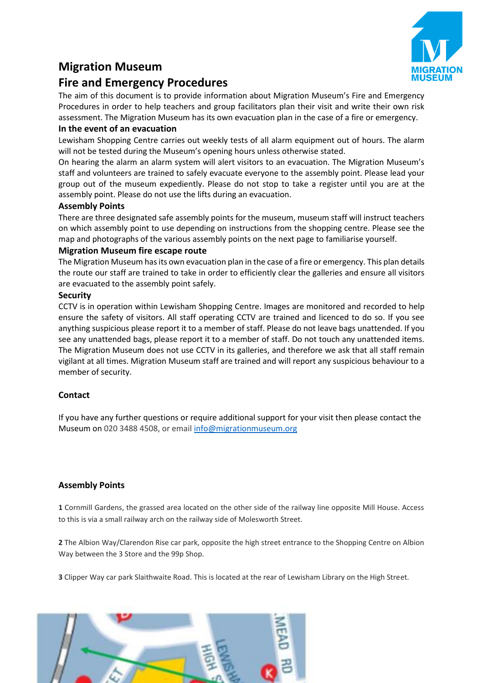# **Migration Museum**



## **Fire and Emergency Procedures**

The aim of this document is to provide information about Migration Museum's Fire and Emergency Procedures in order to help teachers and group facilitators plan their visit and write their own risk assessment. The Migration Museum has its own evacuation plan in the case of a fire or emergency.

#### **In the event of an evacuation**

Lewisham Shopping Centre carries out weekly tests of all alarm equipment out of hours. The alarm will not be tested during the Museum's opening hours unless otherwise stated.

On hearing the alarm an alarm system will alert visitors to an evacuation. The Migration Museum's staff and volunteers are trained to safely evacuate everyone to the assembly point. Please lead your group out of the museum expediently. Please do not stop to take a register until you are at the assembly point. Please do not use the lifts during an evacuation.

#### **Assembly Points**

There are three designated safe assembly points for the museum, museum staff will instruct teachers on which assembly point to use depending on instructions from the shopping centre. Please see the map and photographs of the various assembly points on the next page to familiarise yourself.

#### **Migration Museum fire escape route**

The Migration Museum has its own evacuation plan in the case of a fire or emergency. This plan details the route our staff are trained to take in order to efficiently clear the galleries and ensure all visitors are evacuated to the assembly point safely.

#### **Security**

CCTV is in operation within Lewisham Shopping Centre. Images are monitored and recorded to help ensure the safety of visitors. All staff operating CCTV are trained and licenced to do so. If you see anything suspicious please report it to a member of staff. Please do not leave bags unattended. If you see any unattended bags, please report it to a member of staff. Do not touch any unattended items. The Migration Museum does not use CCTV in its galleries, and therefore we ask that all staff remain vigilant at all times. Migration Museum staff are trained and will report any suspicious behaviour to a member of security.

## **Contact**

If you have any further questions or require additional support for your visit then please contact the Museum on 020 3488 4508, or email [info@migrationmuseum.org](mailto:info@migrationmuseum.org)

## **Assembly Points**

**1** Cornmill Gardens, the grassed area located on the other side of the railway line opposite Mill House. Access to this is via a small railway arch on the railway side of Molesworth Street.

**2** The Albion Way/Clarendon Rise car park, opposite the high street entrance to the Shopping Centre on Albion Way between the 3 Store and the 99p Shop.

**3** Clipper Way car park Slaithwaite Road. This is located at the rear of Lewisham Library on the High Street.